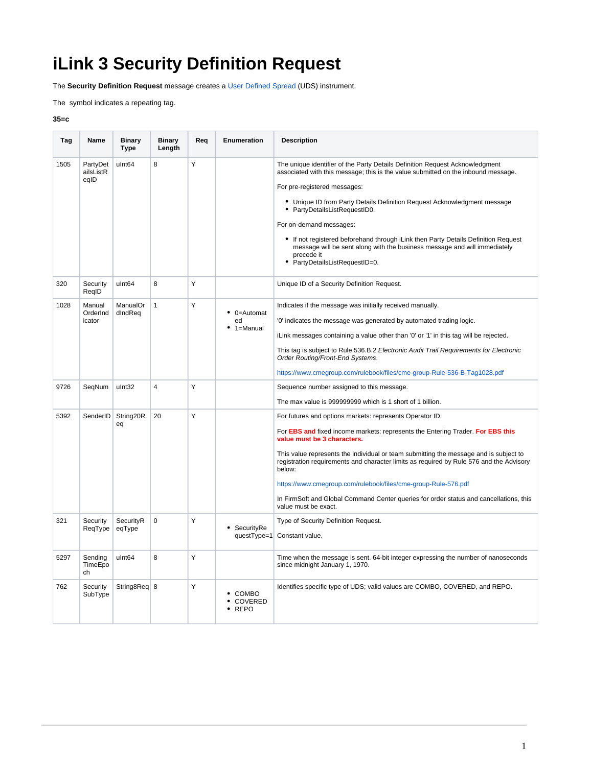## **iLink 3 Security Definition Request**

The **Security Definition Request** message creates a [User Defined Spread](https://www.cmegroup.com/confluence/display/EPICSANDBOX/User+Defined+Spread+-+UDS) (UDS) instrument.

The symbol indicates a repeating tag.

## **35=c**

| Tag  | Name                         | <b>Binary</b><br><b>Type</b> | <b>Binary</b><br>Length | Reg | Enumeration                     | <b>Description</b>                                                                                                                                                                                              |
|------|------------------------------|------------------------------|-------------------------|-----|---------------------------------|-----------------------------------------------------------------------------------------------------------------------------------------------------------------------------------------------------------------|
| 1505 | PartyDet<br>ailsListR        | ulnt64                       | 8                       | Υ   |                                 | The unique identifier of the Party Details Definition Request Acknowledgment<br>associated with this message; this is the value submitted on the inbound message.                                               |
|      | eqID                         |                              |                         |     |                                 | For pre-registered messages:                                                                                                                                                                                    |
|      |                              |                              |                         |     |                                 | • Unique ID from Party Details Definition Request Acknowledgment message<br>• PartyDetailsListRequestID0.                                                                                                       |
|      |                              |                              |                         |     |                                 | For on-demand messages:                                                                                                                                                                                         |
|      |                              |                              |                         |     |                                 | • If not registered beforehand through iLink then Party Details Definition Request<br>message will be sent along with the business message and will immediately<br>precede it<br>• PartyDetailsListRequestID=0. |
| 320  | Security<br>RegID            | ulnt <sub>64</sub>           | 8                       | Y   |                                 | Unique ID of a Security Definition Request.                                                                                                                                                                     |
| 1028 | Manual<br>OrderInd<br>icator | ManualOr<br>dIndReq          | $\mathbf{1}$            | Y   | • 0=Automat<br>ed<br>1=Manual   | Indicates if the message was initially received manually.                                                                                                                                                       |
|      |                              |                              |                         |     |                                 | '0' indicates the message was generated by automated trading logic.                                                                                                                                             |
|      |                              |                              |                         |     |                                 | iLink messages containing a value other than '0' or '1' in this tag will be rejected.                                                                                                                           |
|      |                              |                              |                         |     |                                 | This tag is subject to Rule 536.B.2 Electronic Audit Trail Requirements for Electronic<br>Order Routing/Front-End Systems.                                                                                      |
|      |                              |                              |                         |     |                                 | https://www.cmegroup.com/rulebook/files/cme-group-Rule-536-B-Tag1028.pdf                                                                                                                                        |
| 9726 | SegNum                       | ulnt32                       | $\overline{4}$          | Y   |                                 | Sequence number assigned to this message.                                                                                                                                                                       |
|      |                              |                              |                         |     |                                 | The max value is 999999999 which is 1 short of 1 billion.                                                                                                                                                       |
| 5392 | SenderID                     | String20R<br>eq              | 20                      | Y   |                                 | For futures and options markets: represents Operator ID.                                                                                                                                                        |
|      |                              |                              |                         |     |                                 | For <b>EBS and</b> fixed income markets: represents the Entering Trader. For EBS this<br>value must be 3 characters.                                                                                            |
|      |                              |                              |                         |     |                                 | This value represents the individual or team submitting the message and is subject to<br>registration requirements and character limits as required by Rule 576 and the Advisory<br>below:                      |
|      |                              |                              |                         |     |                                 | https://www.cmegroup.com/rulebook/files/cme-group-Rule-576.pdf                                                                                                                                                  |
|      |                              |                              |                         |     |                                 | In FirmSoft and Global Command Center queries for order status and cancellations, this<br>value must be exact.                                                                                                  |
| 321  | Security                     | SecurityR<br>eqType          | 0                       | Y   | SecuritvRe                      | Type of Security Definition Request.                                                                                                                                                                            |
|      | ReqType                      |                              |                         |     | questType=1                     | Constant value.                                                                                                                                                                                                 |
| 5297 | Sending<br>TimeEpo<br>ch     | ulnt64                       | 8                       | Υ   |                                 | Time when the message is sent. 64-bit integer expressing the number of nanoseconds<br>since midnight January 1, 1970.                                                                                           |
| 762  | Security<br>SubType          | String8Req 8                 |                         | Y   | COMBO<br>COVERED<br><b>REPO</b> | Identifies specific type of UDS; valid values are COMBO, COVERED, and REPO.                                                                                                                                     |